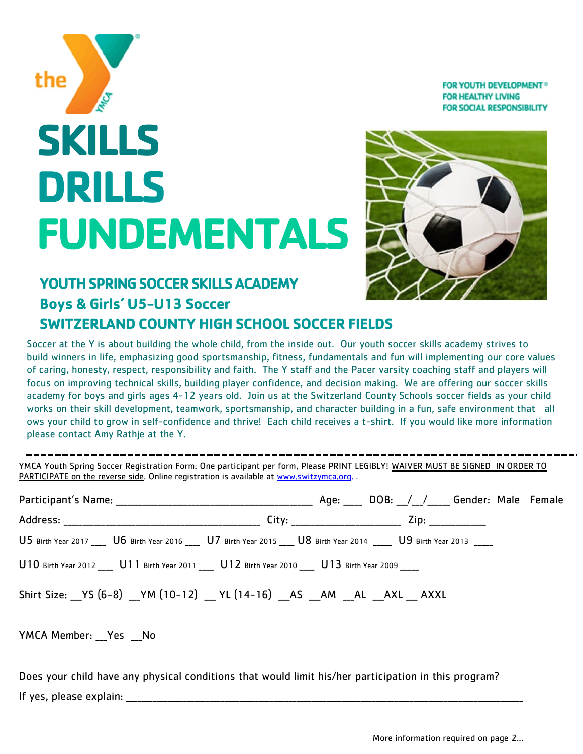**FOR YOUTH DEVELOPMENT® FOR HEALTHY LIVING FOR SOCIAL RESPONSIBILITY** 

# **SKILLS DRILLS FUNDEMENTALS**



## **YOUTH SPRING SOCCER SKILLS ACADEMY**

# **Boys & Girls' U5-U13 Soccer SWITZERLAND COUNTY HIGH SCHOOL SOCCER FIELDS**

Soccer at the Y is about building the whole child, from the inside out. Our youth soccer skills academy strives to build winners in life, emphasizing good sportsmanship, fitness, fundamentals and fun will implementing our core values of caring, honesty, respect, responsibility and faith. The Y staff and the Pacer varsity coaching staff and players will focus on improving technical skills, building player confidence, and decision making. We are offering our soccer skills academy for boys and girls ages 4-12 years old. Join us at the Switzerland County Schools soccer fields as your child works on their skill development, teamwork, sportsmanship, and character building in a fun, safe environment that all ows your child to grow in self-confidence and thrive! Each child receives a t-shirt. If you would like more information please contact Amy Rathje at the Y.

YMCA Youth Spring Soccer Registration Form: One participant per form, Please PRINT LEGIBLY! WAIVER MUST BE SIGNED IN ORDER TO PARTICIPATE on the reverse side. Online registration is available at [www.switzymca.org.](http://www.switzymca.org) .

|                                                                                                                       | Age: DOB: / / Gender: Male Female |  |  |
|-----------------------------------------------------------------------------------------------------------------------|-----------------------------------|--|--|
|                                                                                                                       |                                   |  |  |
| U5 Birth Year 2017 ____ U6 Birth Year 2016 ___ U7 Birth Year 2015 ___ U8 Birth Year 2014 ____ U9 Birth Year 2013 ____ |                                   |  |  |
| U10 Birth Year 2012 ____ U11 Birth Year 2011 ___ U12 Birth Year 2010 ___ U13 Birth Year 2009 ____                     |                                   |  |  |
| Shirt Size: YS (6-8) _YM (10-12) _YL (14-16) _AS _AM _AL _AXL _AXXL                                                   |                                   |  |  |

#### YMCA Member: Yes No

the

Does your child have any physical conditions that would limit his/her participation in this program? If yes, please explain: